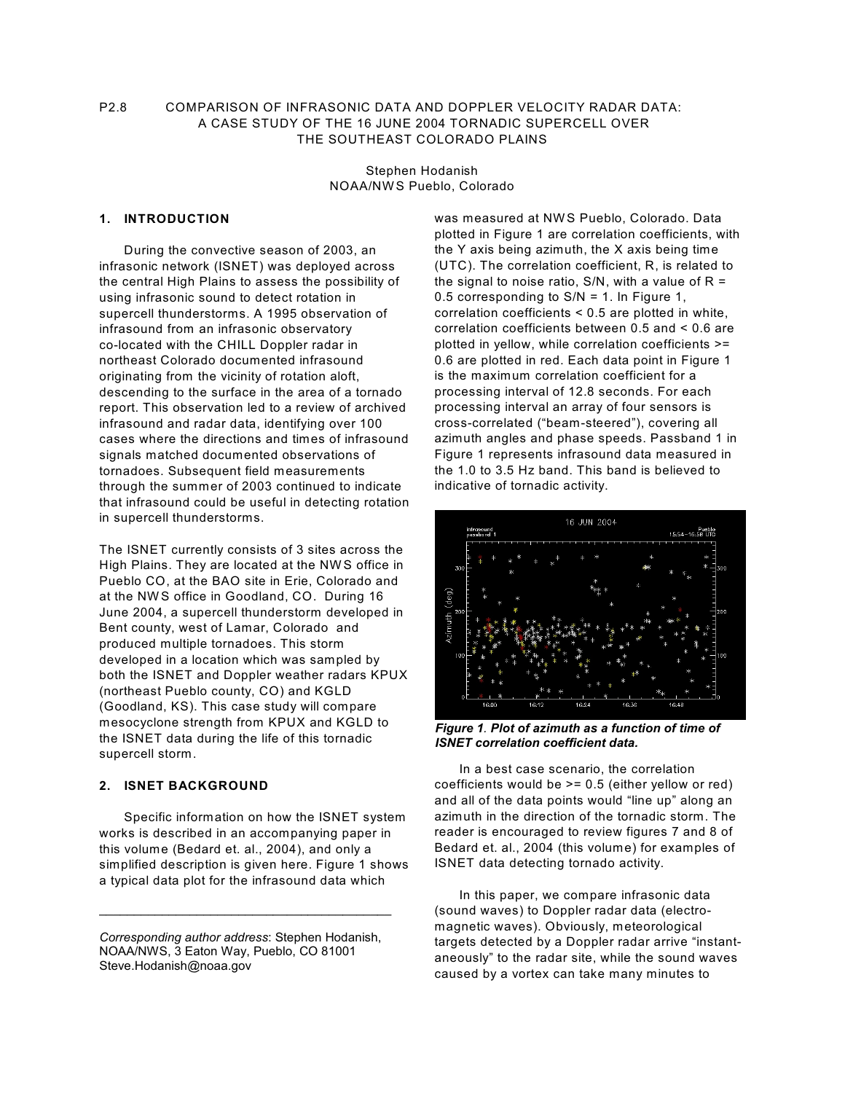# P2.8 COMPARISON OF INFRASONIC DATA AND DOPPLER VELOCITY RADAR DATA: A CASE STUDY OF THE 16 JUNE 2004 TORNADIC SUPERCELL OVER THE SOUTHEAST COLORADO PLAINS

Stephen Hodanish NOAA/NW S Pueblo, Colorado

# **1. INTRODUCTION**

During the convective season of 2003, an infrasonic network (ISNET) was deployed across the central High Plains to assess the possibility of using infrasonic sound to detect rotation in supercell thunderstorms. A 1995 observation of infrasound from an infrasonic observatory co-located with the CHILL Doppler radar in northeast Colorado documented infrasound originating from the vicinity of rotation aloft, descending to the surface in the area of a tornado report. This observation led to a review of archived infrasound and radar data, identifying over 100 cases where the directions and times of infrasound signals matched documented observations of tornadoes. Subsequent field measurements through the summer of 2003 continued to indicate that infrasound could be useful in detecting rotation in supercell thunderstorms.

The ISNET currently consists of 3 sites across the High Plains. They are located at the NW S office in Pueblo CO, at the BAO site in Erie, Colorado and at the NW S office in Goodland, CO. During 16 June 2004, a supercell thunderstorm developed in Bent county, west of Lamar, Colorado and produced multiple tornadoes. This storm developed in a location which was sampled by both the ISNET and Doppler weather radars KPUX (northeast Pueblo county, CO) and KGLD (Goodland, KS). This case study will compare mesocyclone strength from KPUX and KGLD to the ISNET data during the life of this tornadic supercell storm.

### **2. ISNET BACKGROUND**

Specific information on how the ISNET system works is described in an accompanying paper in this volume (Bedard et. al., 2004), and only a simplified description is given here. Figure 1 shows a typical data plot for the infrasound data which

 $\mathcal{L}_\text{max}$  , and the set of the set of the set of the set of the set of the set of the set of the set of the set of the set of the set of the set of the set of the set of the set of the set of the set of the set of the

was measured at NW S Pueblo, Colorado. Data plotted in Figure 1 are correlation coefficients, with the Y axis being azimuth, the X axis being time (UTC). The correlation coefficient, R, is related to the signal to noise ratio,  $S/N$ , with a value of  $R =$ 0.5 corresponding to S/N = 1. In Figure 1, correlation coefficients < 0.5 are plotted in white, correlation coefficients between 0.5 and < 0.6 are plotted in yellow, while correlation coefficients >= 0.6 are plotted in red. Each data point in Figure 1 is the maximum correlation coefficient for a processing interval of 12.8 seconds. For each processing interval an array of four sensors is cross-correlated ("beam-steered"), covering all azimuth angles and phase speeds. Passband 1 in Figure 1 represents infrasound data measured in the 1.0 to 3.5 Hz band. This band is believed to indicative of tornadic activity.



*Figure 1. Plot of azimuth as a function of time of ISNET correlation coefficient data.*

In a best case scenario, the correlation coefficients would be >= 0.5 (either yellow or red) and all of the data points would "line up" along an azimuth in the direction of the tornadic storm. The reader is encouraged to review figures 7 and 8 of Bedard et. al., 2004 (this volume) for examples of ISNET data detecting tornado activity.

In this paper, we compare infrasonic data (sound waves) to Doppler radar data (electromagnetic waves). Obviously, meteorological targets detected by a Doppler radar arrive "instantaneously" to the radar site, while the sound waves caused by a vortex can take many minutes to

*Corresponding author address*: Stephen Hodanish, NOAA/NWS, 3 Eaton Way, Pueblo, CO 81001 Steve.Hodanish@noaa.gov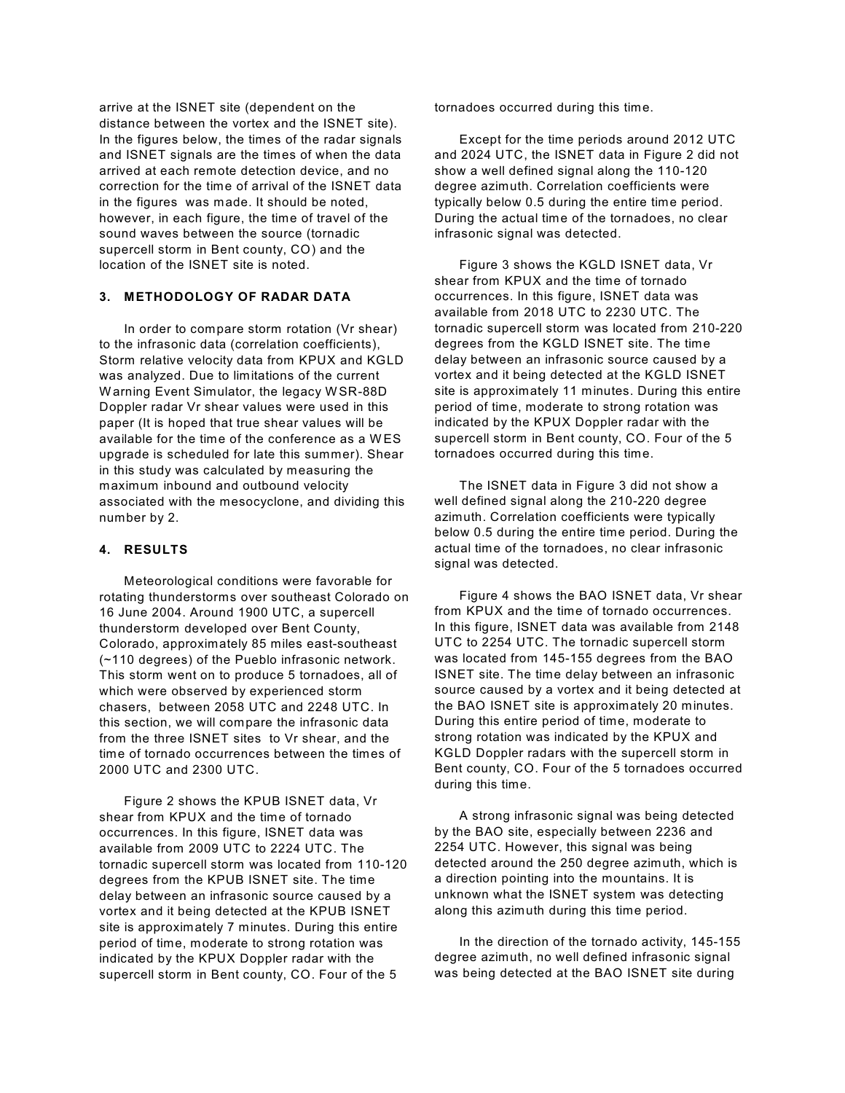arrive at the ISNET site (dependent on the distance between the vortex and the ISNET site). In the figures below, the times of the radar signals and ISNET signals are the times of when the data arrived at each remote detection device, and no correction for the time of arrival of the ISNET data in the figures was made. It should be noted, however, in each figure, the time of travel of the sound waves between the source (tornadic supercell storm in Bent county, CO) and the location of the ISNET site is noted.

# **3. METHODOLOGY OF RADAR DATA**

In order to compare storm rotation (Vr shear) to the infrasonic data (correlation coefficients), Storm relative velocity data from KPUX and KGLD was analyzed. Due to limitations of the current W arning Event Simulator, the legacy W SR-88D Doppler radar Vr shear values were used in this paper (It is hoped that true shear values will be available for the time of the conference as a W ES upgrade is scheduled for late this summer). Shear in this study was calculated by measuring the maximum inbound and outbound velocity associated with the mesocyclone, and dividing this number by 2.

#### **4. RESULTS**

Meteorological conditions were favorable for rotating thunderstorms over southeast Colorado on 16 June 2004. Around 1900 UTC, a supercell thunderstorm developed over Bent County, Colorado, approximately 85 miles east-southeast (~110 degrees) of the Pueblo infrasonic network. This storm went on to produce 5 tornadoes, all of which were observed by experienced storm chasers, between 2058 UTC and 2248 UTC. In this section, we will compare the infrasonic data from the three ISNET sites to Vr shear, and the time of tornado occurrences between the times of 2000 UTC and 2300 UTC.

Figure 2 shows the KPUB ISNET data, Vr shear from KPUX and the time of tornado occurrences. In this figure, ISNET data was available from 2009 UTC to 2224 UTC. The tornadic supercell storm was located from 110-120 degrees from the KPUB ISNET site. The time delay between an infrasonic source caused by a vortex and it being detected at the KPUB ISNET site is approximately 7 minutes. During this entire period of time, moderate to strong rotation was indicated by the KPUX Doppler radar with the supercell storm in Bent county, CO. Four of the 5

tornadoes occurred during this time.

Except for the time periods around 2012 UTC and 2024 UTC, the ISNET data in Figure 2 did not show a well defined signal along the 110-120 degree azimuth. Correlation coefficients were typically below 0.5 during the entire time period. During the actual time of the tornadoes, no clear infrasonic signal was detected.

Figure 3 shows the KGLD ISNET data, Vr shear from KPUX and the time of tornado occurrences. In this figure, ISNET data was available from 2018 UTC to 2230 UTC. The tornadic supercell storm was located from 210-220 degrees from the KGLD ISNET site. The time delay between an infrasonic source caused by a vortex and it being detected at the KGLD ISNET site is approximately 11 minutes. During this entire period of time, moderate to strong rotation was indicated by the KPUX Doppler radar with the supercell storm in Bent county, CO. Four of the 5 tornadoes occurred during this time.

The ISNET data in Figure 3 did not show a well defined signal along the 210-220 degree azimuth. Correlation coefficients were typically below 0.5 during the entire time period. During the actual time of the tornadoes, no clear infrasonic signal was detected.

Figure 4 shows the BAO ISNET data, Vr shear from KPUX and the time of tornado occurrences. In this figure, ISNET data was available from 2148 UTC to 2254 UTC. The tornadic supercell storm was located from 145-155 degrees from the BAO ISNET site. The time delay between an infrasonic source caused by a vortex and it being detected at the BAO ISNET site is approximately 20 minutes. During this entire period of time, moderate to strong rotation was indicated by the KPUX and KGLD Doppler radars with the supercell storm in Bent county, CO. Four of the 5 tornadoes occurred during this time.

A strong infrasonic signal was being detected by the BAO site, especially between 2236 and 2254 UTC. However, this signal was being detected around the 250 degree azimuth, which is a direction pointing into the mountains. It is unknown what the ISNET system was detecting along this azimuth during this time period.

In the direction of the tornado activity, 145-155 degree azimuth, no well defined infrasonic signal was being detected at the BAO ISNET site during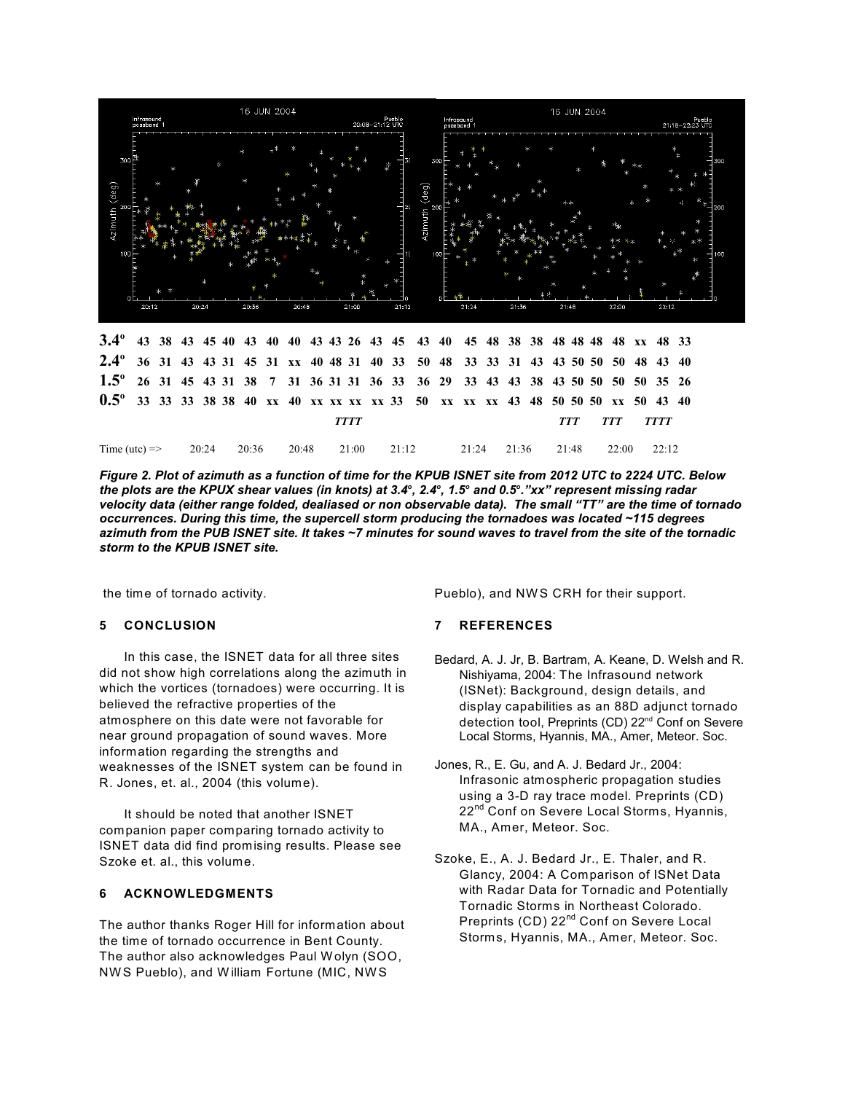

*Figure 2. Plot of azimuth as a function of time for the KPUB ISNET site from 2012 UTC to 2224 UTC. Below the plots are the KPUX shear values (in knots) at 3.4 , 2.4 , 1.5 and 0.5 ."xx" represent missing radar ooo <sup>o</sup> velocity data (either range folded, dealiased or non observable data). The small "TT" are the time of tornado occurrences. During this time, the supercell storm producing the tornadoes was located ~115 degrees azimuth from the PUB ISNET site. It takes ~7 minutes for sound waves to travel from the site of the tornadic storm to the KPUB ISNET site.*

the time of tornado activity.

## **5 CONCLUSION**

In this case, the ISNET data for all three sites did not show high correlations along the azimuth in which the vortices (tornadoes) were occurring. It is believed the refractive properties of the atmosphere on this date were not favorable for near ground propagation of sound waves. More information regarding the strengths and weaknesses of the ISNET system can be found in R. Jones, et. al., 2004 (this volume).

It should be noted that another ISNET companion paper comparing tornado activity to ISNET data did find promising results. Please see Szoke et. al., this volume.

## **6 ACKNOWLEDGMENTS**

The author thanks Roger Hill for information about the time of tornado occurrence in Bent County. The author also acknowledges Paul W olyn (SOO, NW S Pueblo), and W illiam Fortune (MIC, NWS

Pueblo), and NW S CRH for their support.

### **7 REFERENCES**

- Bedard, A. J. Jr, B. Bartram, A. Keane, D. Welsh and R. Nishiyama, 2004: The Infrasound network (ISNet): Background, design details, and display capabilities as an 88D adjunct tornado detection tool, Preprints (CD) 22<sup>nd</sup> Conf on Severe Local Storms, Hyannis, MA., Amer, Meteor. Soc.
- Jones, R., E. Gu, and A. J. Bedard Jr., 2004: Infrasonic atmospheric propagation studies using a 3-D ray trace model. Preprints (CD) 22<sup>nd</sup> Conf on Severe Local Storms, Hyannis, MA., Amer, Meteor. Soc.
- Szoke, E., A. J. Bedard Jr., E. Thaler, and R. Glancy, 2004: A Comparison of ISNet Data with Radar Data for Tornadic and Potentially Tornadic Storms in Northeast Colorado. Preprints (CD) 22<sup>nd</sup> Conf on Severe Local Storms, Hyannis, MA., Amer, Meteor. Soc.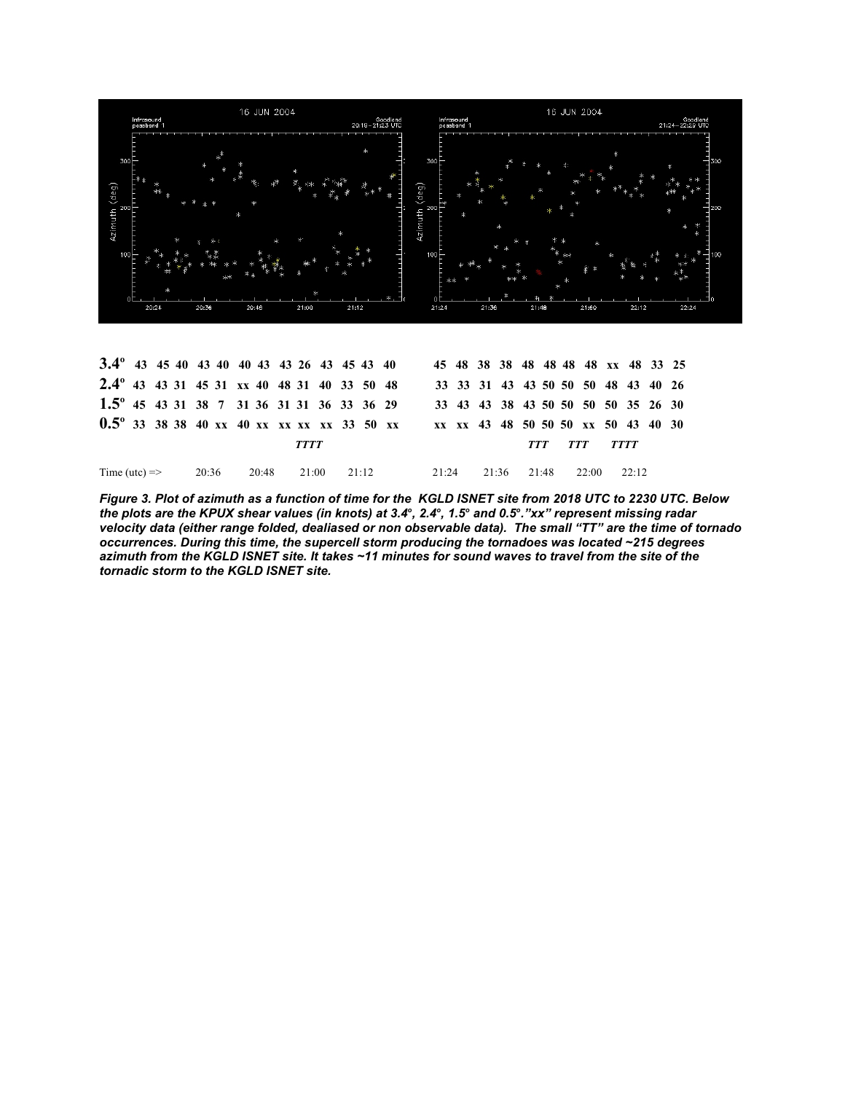

*Figure 3. Plot of azimuth as a function of time for the KGLD ISNET site from 2018 UTC to 2230 UTC. Below the plots are the KPUX shear values (in knots) at 3.4 , 2.4 , 1.5 and 0.5 ."xx" represent missing radar ooo <sup>o</sup> velocity data (either range folded, dealiased or non observable data). The small "TT" are the time of tornado occurrences. During this time, the supercell storm producing the tornadoes was located ~215 degrees azimuth from the KGLD ISNET site. It takes ~11 minutes for sound waves to travel from the site of the tornadic storm to the KGLD ISNET site.*